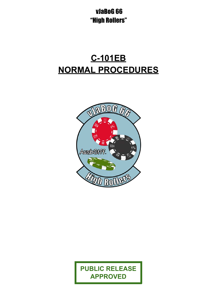# vJaBoG 66 "High Rollers"

# **C-101EB NORMAL PROCEDURES**



**PUBLIC RELEASE APPROVED**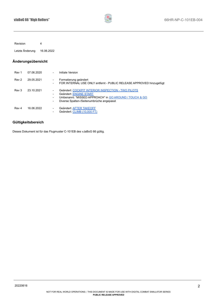

Revision 4

Letzte Änderung 16.06.2022

#### **Änderungsübersicht**

| Rev 1 | 07.06.2020 | $\overline{\phantom{a}}$                                                                                     | Initiale Version                                                                                                                                                                    |
|-------|------------|--------------------------------------------------------------------------------------------------------------|-------------------------------------------------------------------------------------------------------------------------------------------------------------------------------------|
| Rev 2 | 29.05.2021 | $\overline{\phantom{a}}$<br>$\overline{\phantom{a}}$                                                         | Formatierung geändert<br>FOR INTERNAL USE ONLY entfernt - PUBLIC RELEASE APPROVED hinzugefügt                                                                                       |
| Rev 3 | 23.10.2021 | $\overline{\phantom{a}}$<br>$\overline{\phantom{a}}$<br>$\overline{\phantom{a}}$<br>$\overline{\phantom{a}}$ | Geändert: COCKPIT INTERIOR INSPECTION - TWO PILOTS<br>Geändert: ENGINE START<br>Umbenannt: "MISSED APPROACH" in GO AROUND / TOUCH & GO<br>Diverse Spalten-/Seitenumbrüche angepasst |
| Rev 4 | 16.06.2022 | $\overline{\phantom{a}}$<br>$\overline{\phantom{a}}$                                                         | Geändert: AFTER TAKEOFF<br>Geändert: CLIMB (10,000 FT)                                                                                                                              |

## **Gültigkeitsbereich**

Dieses Dokument ist für das Flugmuster C-101EB des vJaBoG 66 gültig.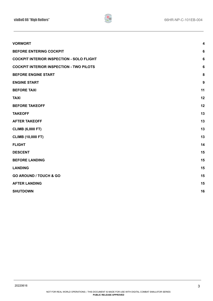

| <b>VORWORT</b>                                   | $\overline{\mathbf{4}}$ |
|--------------------------------------------------|-------------------------|
| <b>BEFORE ENTERING COCKPIT</b>                   | $6\phantom{1}$          |
| <b>COCKPIT INTERIOR INSPECTION - SOLO FLIGHT</b> | $\boldsymbol{6}$        |
| <b>COCKPIT INTERIOR INSPECTION - TWO PILOTS</b>  | $\boldsymbol{6}$        |
| <b>BEFORE ENGINE START</b>                       | $\bf 8$                 |
| <b>ENGINE START</b>                              | 9                       |
| <b>BEFORE TAXI</b>                               | 11                      |
| <b>TAXI</b>                                      | 12                      |
| <b>BEFORE TAKEOFF</b>                            | 12                      |
| <b>TAKEOFF</b>                                   | 13                      |
| <b>AFTER TAKEOFF</b>                             | 13                      |
| <b>CLIMB (6,000 FT)</b>                          | 13                      |
| <b>CLIMB (10,000 FT)</b>                         | 13                      |
| <b>FLIGHT</b>                                    | 14                      |
| <b>DESCENT</b>                                   | 15                      |
| <b>BEFORE LANDING</b>                            | 15                      |
| <b>LANDING</b>                                   | 15                      |
| <b>GO AROUND / TOUCH &amp; GO</b>                | 15                      |
| <b>AFTER LANDING</b>                             | 15                      |
| <b>SHUTDOWN</b>                                  | 16                      |
|                                                  |                         |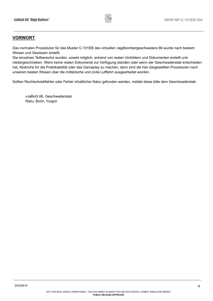

## <span id="page-3-0"></span>**VORWORT**

Das normalen Prozeduren für das Muster C-101EB des virtuellen Jagdbombergeschwaders 66 wurde nach bestem Wissen und Gewissen erstellt.

Die einzelnen Teilbereiche wurden, soweit möglich, anhand von realen Vorbildern und Dokumenten erstellt und niedergeschrieben. Wenn keine realen Dokumente zur Verfügung standen oder wenn der Geschwaderstab entschieden hat, Abstriche für die Praktikabilität oder das Gameplay zu machen, dann sind die hier dargestellten Prozeduren nach unserem besten Wissen über die militärische und zivile Luftfahrt ausgearbeitet worden.

Sollten Rechtschreibfehler oder Fehler inhaltlicher Natur gefunden werden, meldet diese bitte dem Geschwaderstab.

vJaBoG 66, Geschwaderstab Raku, Borin, Yurgon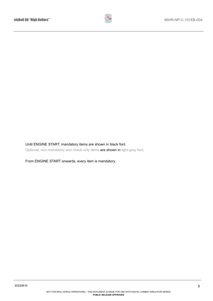

#### Until ENGINE START, mandatory items are shown in black font.

Optional, non-mandatory and check-only items are shown in light-gray font.

From ENGINE START onwards, every item is mandatory.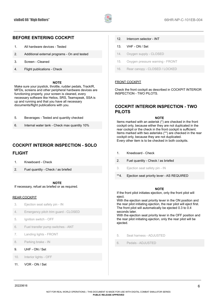

## <span id="page-5-1"></span>**BEFORE ENTERING COCKPIT**

- 1. All hardware devices Tested
- 2. Additional external programs On and tested
- 3. Screen Cleaned
- 4. Flight publications Check

#### **NOTE**

Make sure your joystick, throttle, rudder pedals, TrackIR, MFDs, screens and other peripheral hardware devices are functioning properly, your screen is cleaned, every necessary software like Helios, SRS, Teamspeak, SSA is up and running and that you have all necessary documents/flight publications with you.

| Beverages - Tested and quantity checked<br>-5. |  |
|------------------------------------------------|--|
|------------------------------------------------|--|

6. Internal water tank - Check max quantity 10%

## <span id="page-5-2"></span>**COCKPIT INTERIOR INSPECTION - SOLO FLIGHT**

- 1. Kneeboard Check
- 2. Fuel quantity Check / as briefed

**NOTE**

If necessary, refuel as briefed or as required.

#### REAR COCKPIT

- 3. Ejection seat safety pin IN
- 4. Emergency pitch trim guard CLOSED
- 5. Ignition switch OFF
- 6. Fuel transfer pump switches ANT
- 7. Landing lights FRONT
- 8. Parking brake IN
- 9. UHF ON / Set
- 10. Interior lights OFF
- 11. VOR ON / Set

#### 12. Intercom selector - INT

- 13. VHF ON / Set
- 14. Oxygen supply CLOSED
- 15. Oxygen pressure warning FRONT
- 16. Rear canopy CLOSED / LOCKED

#### FRONT COCKPIT

Check the front cockpit as described in COCKPIT INTERIOR INSPECTION - TWO PILOTS.

## <span id="page-5-3"></span><span id="page-5-0"></span>**COCKPIT INTERIOR INSPECTION - TWO PILOTS**

**NOTE**

Items marked with an asterisk (\*) are checked in the front cockpit only, because either they are not duplicated in the rear cockpit or the check in the front cockpit is sufficient. Items marked with two asterisks (\*\*) are checked in the rear cockpit only, because they are not duplicated. Every other item is to be checked in both cockpits.

- 1. Kneeboard Check
- 2. Fuel quantity Check / as briefed
- 3. Ejection seat safety pin IN
- \*\*4. Ejection seat priority lever AS REQUIRED

#### **NOTE**

If the front pilot initiates ejection, only the front pilot will eject.

With the ejection seat priority lever in the ON position and the rear pilot initiating ejection, the rear pilot will eject first. The front pilot will automatically be ejected 0.3 to 0.4 seconds later.

With the ejection seat priority lever in the OFF position and the rear pilot initiating ejection, only the rear pilot will be ejected.

- 5. Seat harness ADJUSTED
- 6. Pedals ADJUSTED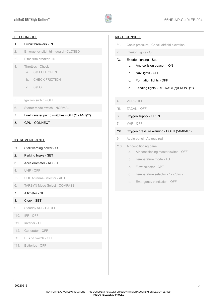

#### LEFT CONSOLE

#### 1. Circuit breakers - IN

- 2. Emergency pitch trim guard CLOSED
- \*3. Pitch trim breaker IN
- 4. Throttles Check
	- a. Set FULL OPEN
	- b. CHECK FRICTION
	- c. Set OFF
- 5. Ignition switch OFF
- 6. Starter mode switch NORMAL
- 7. Fuel transfer pump switches OFF(\*) / ANT(\*\*)
- 8. GPU CONNECT

#### INSTRUMENT PANEL

- \*1. Stall warning power OFF
- 2. Parking brake SET
- 3. Accelerometer RESET
- 4. UHF OFF
- \*5. UHF Antenna Selector AUT
- 6. TARSYN Mode Select COMPASS
- 7. Altimeter SET

#### 8. Clock - SET

- 9. Standby ADI CAGED
- \*10. IFF OFF
- \*11. Inverter OFF
- \*12. Generator OFF
- \*13. Bus tie switch OFF
- \*14. Batteries OFF

#### RIGHT CONSOLE

- \*1. Cabin pressure Check airfield elevation
- 2. Interior Lights OFF
- \*3. Exterior lighting Set
	- a. Anti-collision beacon ON
	- b. Nav lights OFF
	- c. Formation lights OFF
	- d. Landing lights RETRACT(\*)/FRONT(\*\*)
- 4. VOR OFF
- \*5. TACAN OFF
- 6. Oxygen supply OPEN
- 7. VHF OFF
- \*\*8. Oxygen pressure warning BOTH ("AMBAS")
- 9. Audio panel As required

#### \*10. Air conditioning panel

- a. Air conditioning master switch OFF
- b. Temperature mode AUT
- c. Flow selector CPT
- d. Temperature selector 12 o'clock
- e. Emergency ventilation OFF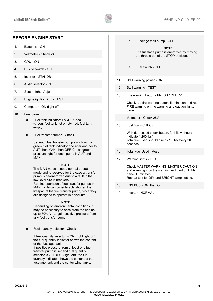

## <span id="page-7-0"></span>**BEFORE ENGINE START**

- 1. Batteries ON
- 2. Voltmeter Check 24V
- 3. GPU ON
- 4. Bus tie switch ON
- 5. Inverter STANDBY
- 6. Audio selector INT
- 7. Seat height Adjust
- 8. Engine ignition light TEST
- 9. Computer ON (light off)
- 10. Fuel panel
	- a. Fuel tank indicators L/C/R Check (green: fuel tank not empty; red: fuel tank empty)
	- b. Fuel transfer pumps Check

Set each fuel transfer pump switch with a green fuel tank indicator one after another to AUT, then MAN, then OFF. Check green pressure light for each pump in AUT and MAN.

#### **NOTE**

The MAN mode is not a normal operation mode and is reserved for the case a transfer pump is de-energized due to a fault in the low-level circuit breakers. Routine operation of fuel transfer pumps in

MAN mode can considerably shorten the lifespan of the fuel transfer pump, since they are designed to operate in a vacuum.

#### **NOTE**

Depending on environmental conditions, it may be necessary to accelerate the engine up to 50% N1 to gain positive pressure from any fuel transfer pump.

c. Fuel quantity selector - Check

If fuel quantity selector is ON (FUS light on), the fuel quantity indicator shows the content of the fuselage tank. If positive pressure from at least one fuel transfer pump is set and fuel quantity selector is OFF (FUS light off), the fuel quantity indicator shows the content of the fuselage tank and the center wing tanks.

d. Fuselage tank pump - OFF

**NOTE** The fuselage pump is energized by moving the throttle out of the STOP position.

- e. Fuel switch OFF
- 11. Stall warning power ON
- 12. Stall warning TEST
- 13. Fire warning button PRESS / CHECK

Check red fire warning button illumination and red FIRE warning on the warning and caution lights panel.

- 14. Voltmeter Check 28V
- 15. Fuel flow CHECK

With depressed check button, fuel flow should indicate 1.200 lbs/h. Total fuel used should rise by 10 lbs every 30 seconds.

- 16. Total Fuel Used Reset
- 17. Warning lights TEST

Check MASTER WARNING, MASTER CAUTION and every light on the warning and caution lights panel illuminates. Repeat test for DIM and BRIGHT lamp setting.

- 18. ESS BUS ON, then OFF
- 19. Inverter NORMAL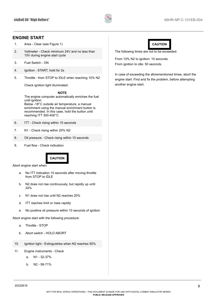

## <span id="page-8-0"></span>**ENGINE START**

- 1. Area Clear (see Figure 1)
- 2. Voltmeter Check minimum 24V and no less than 15V during engine start cycle
- 3. Fuel Switch ON
- 4. Ignition START, hold for 2s
- 5. Throttle from STOP to IDLE when reaching 10% N2

Check ignition light illuminated.

#### **NOTE**

The engine computer automatically enriches the fuel until ignition. Below -18°C outside air temperature, a manual

enrichment using the manual enrichment button is recommended. In this case, hold the button until reaching ITT 300-400°C

- 6. ITT Check rising within 10 seconds
- 7. N1 Check rising within 20% N2
- 8. Oil pressure Check rising within 10 seconds
- 9. Fuel flow Check indication



Abort engine start when:

- a. No ITT indication 10 seconds after moving throttle from STOP to IDLE
- b. N2 does not rise continuously, but rapidly up until 24%
- c. N1 does not rise until N2 reaches 20%
- d. ITT reaches limit or rises rapidly
- e. No positive oil pressure within 10 seconds of ignition

Abort engine start with the following procedure:

- a. Throttle STOP
- b. Abort switch HOLD ABORT
- 10. Ignition light Extinguishes when N2 reaches 50%
- 11. Engine instruments Check
	- a. N1 32-37%
	- b. N2 58-71%



The following times are not to be exceeded:

From 10% N2 to ignition: 10 seconds. From ignition to idle: 50 seconds.

In case of exceeding the aforementioned times, abort the engine start. Find and fix the problem, before attempting another engine start.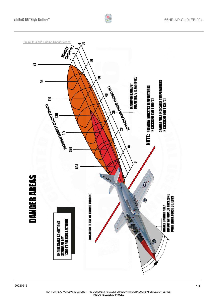

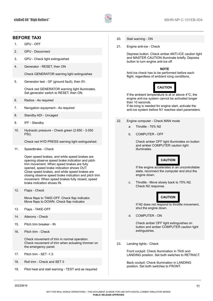

## <span id="page-10-0"></span>**BEFORE TAXI**

- 1. GPU OFF
- 2. GPU Disconnect
- 3. GPU Check light extinguished
- 4. Generator RESET, then ON

Check GENERATOR warning light extinguishes

5. Generator test - GF (ground fault), then 0V.

Check red GENERATOR warning light illuminates. Set generator switch to RESET, then ON.

- 6. Radios As required
- 7. Navigation equipment As required
- 8. Standby ADI Uncaged
- 9. IFF Standby
- 10. Hydraulic pressure Check green (2.850 3.050 PSI).

Check red HYD PRESS warning light extinguished.

11. Speedbrake - Check

Open speed brakes, and while speed brakes are opening observe speed brake indication and pitch trim movement. When speed brakes are fully opened, speed brake indication shows OUT. Close speed brakes, and while speed brakes are closing observe speed brake indication and pitch trim movement. When speed brakes fully closed, speed brake indication shows IN.

12. Flaps - Check

Move flaps to TAKE-OFF. Check flap indicator. Move flaps to DOWN. Check flap indicator.

- 13. Flaps TAKE-OFF
- 14. Ailerons Check
- 15. Pitch trim breaker IN
- 16. Pitch trim Check

Check movement of trim in normal operation. Check movement of trim when actuating trimmer on the emergency panel.

- 17. Pitch trim SET -1.5
- 18. Roll trim Check and SET 0
- 19. Pitot heat and stall warning TEST and as required
- 20. Stall warning ON
- 21. Engine anti-ice Check

Depress button. Check amber ANTI-ICE caution light and MASTER CAUTION illuminate briefly. Depress button to turn engine anti-ice off.

#### **NOTE**

Anti-ice check has to be performed before each flight, regardless of ambient icing conditions.



If the ambient temperature is at  $\overline{or}$  above 4°C, the engine anti-ice system cannot be activated longer than 10 seconds.

If de-icing is needed for engine start, activate the anti-ice system before N1 reaches start parameters.

- 22. Engine computer Check MAN mode
	- a. Throttle 75% N2
	- b. COMPUTER OFF

Check amber OFF light illuminates on button and amber COMPUTER caution light illuminates.



If the engine accelerates in an uncontrollable state, reconnect the computer and shut the engine down.

c. Throttle - Move slowly back to 75% N2. Check N2 response.



If N2 does not respond to throttle movement, shut the engine down.

d. COMPUTER - ON

Check amber OFF light extinguishes on button and amber COMPUTER caution light extinguishes.

23. Landing lights - Check

Front cockpit: Check illumination in TAXI and LANDING position. Set both switches to RETRACT.

Back cockpit: Check illumination in LANDING position. Set both switches to FRONT.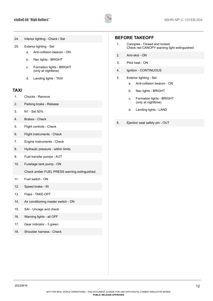

- 24. Interior lighting Check / Set
- 25. Exterior lighting Set
	- a. Anti-collision beacon ON
	- b. Nav lights BRIGHT
	- c. Formation lights BRIGHT (only at nighttime)
	- d. Landing lights TAXI

#### <span id="page-11-0"></span>**TAXI**

- 1. Chocks Remove
- 2. Parking brake Release
- 3. N1 Set 50%
- 4. Brakes Check
- 5. Flight controls Check
- 6. Flight instruments Check
- 7. Engine instruments Check
- 8. Hydraulic pressure within limits
- 9. Fuel transfer pumps AUT
- 10. Fuselage tank pump ON

Check amber FUEL PRESS warning extinguished.

- 11. Fuel switch ON
- 12. Speed brake IN
- 13. Flaps TAKE-OFF
- 14. Air conditioning master switch ON
- 15. SAI Uncage and check
- 16. Warning lights all OFF
- 17. Gear indicator 3 green
- 18. Shoulder harness Check

#### <span id="page-11-1"></span>**BEFORE TAKEOFF**

- 1. Canopies Closed and locked. Check red CANOPY warning light extinguished
- 2. Anti-skid ON
- 3. Pitot heat ON
- 4. Ignition CONTINUOUS
- 5. Exterior lighting Set
	- a. Anti-collision beacon ON
	- b. Nav lights BRIGHT
	- c. Formation lights BRIGHT (only at nighttime)
	- d. Landing lights LAND
- 6. Ejection seat safety pin OUT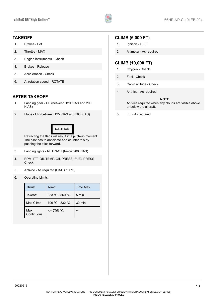

## <span id="page-12-2"></span>**TAKEOFF**

- 1. Brakes Set
- 2. Throttle MAX
- 3. Engine instruments Check
- 4. Brakes Release
- 5. Acceleration Check
- 6. At rotation speed ROTATE

## <span id="page-12-0"></span>**AFTER TAKEOFF**

- 1. Landing gear UP (between 120 KIAS and 200 KIAS)
- 2. Flaps UP (between 125 KIAS and 190 KIAS)

## **CAUTION**

Retracting the flaps will result in a pitch-up moment. The pilot has to anticipate and counter this by pushing the stick forward.

- 3. Landing lights RETRACT (below 200 KIAS)
- 4. RPM, ITT, OIL TEMP, OIL PRESS, FUEL PRESS Check
- 5. Anti-ice As required (OAT < 10 °C)
- 6. Operating Limits:

| <b>Thrust</b>     | Temp            | Time Max |
|-------------------|-----------------|----------|
| Takeoff           | 833 °C - 860 °C | 5 min    |
| Max Climb         | 796 °C - 832 °C | 30 min   |
| Max<br>Continuous | $\leq$ 795 °C   | $\infty$ |

#### <span id="page-12-3"></span>**CLIMB (6,000 FT)**

- 1. Ignition OFF
- 2. Altimeter As required

## <span id="page-12-1"></span>**CLIMB (10,000 FT)**

- 1. Oxygen Check
- 2. Fuel Check
- 3. Cabin altitude Check
- 4. Anti-ice As required

#### **NOTE**

Anti-ice required when any clouds are visible above or below the aircraft.

5. IFF - As required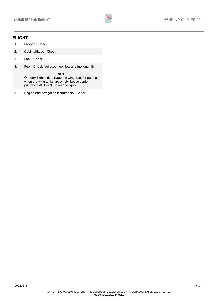

## <span id="page-13-0"></span>**FLIGHT**

- 1. Oxygen Check
- 2. Cabin altitude Check
- 3. Fuel Check
- 4. Fuel Check fuel used, fuel flow and fuel quantity

**NOTE**

On ferry flights, deactivate the wing transfer pumps, when the wing tanks are empty. Leave center pumpts in AUT (ANT in rear cockpit).

5. Engine and navigation instruments - Check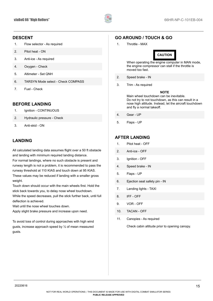

## <span id="page-14-1"></span>**DESCENT**

- 1. Flow selector As required
- 2. Pitot heat ON
- 3. Anti-ice As required
- 4. Oxygen Check
- 5. Altimeter Set QNH
- 6. TARSYN Mode select Check COMPASS
- 7. Fuel Check

## <span id="page-14-2"></span>**BEFORE LANDING**

- 1. Ignition CONTINUOUS
- 2. Hydraulic pressure Check
- 3. Anti-skid ON

## <span id="page-14-3"></span>**LANDING**

All calculated landing data assumes flight over a 50 ft obstacle and landing with minimum required landing distance. For normal landings, where no such obstacle is present and

runway length is not a problem, it is recommended to pass the runway threshold at 110 KIAS and touch down at 95 KIAS. These values may be reduced if landing with a smaller gross weight.

Touch down should occur with the main wheels first. Hold the stick back towards you, to delay nose wheel touchdown.

While the speed decreases, pull the stick further back, until full deflection is achieved.

Wait until the nose wheel touches down.

Apply slight brake pressure and increase upon need.

<span id="page-14-0"></span>To avoid loss of control during approaches with high wind gusts, increase approach speed by ½ of mean measured gusts.

## <span id="page-14-4"></span>**GO AROUND / TOUCH & GO**

1. Throttle - MAX



When operating the engine computer in MAN mode, the engine compressor can stall if the throttle is moved too fast.

- 2. Speed brake IN
- 3. Trim As required

#### **NOTE**

Main wheel touchdown can be inevitable. Do not try to not touchdown, as this can result in a nose high attitude. Instead, let the aircraft touchdown and fly a normal takeoff.

- 4. Gear UP
- 5. Flaps UP

## <span id="page-14-5"></span>**AFTER LANDING**

- 1. Pitot heat OFF
- 2. Anti-ice OFF
- 3. Ignition OFF
- 4. Speed brake IN
- 5. Flaps UP
- 6. Ejection seat safety pin IN
- 7. Landing lights TAXI
- 8. IFF OFF
- 9. VOR OFF
- 10. TACAN OFF
- 11. Canopies As required

Check cabin altitude prior to opening canopy.